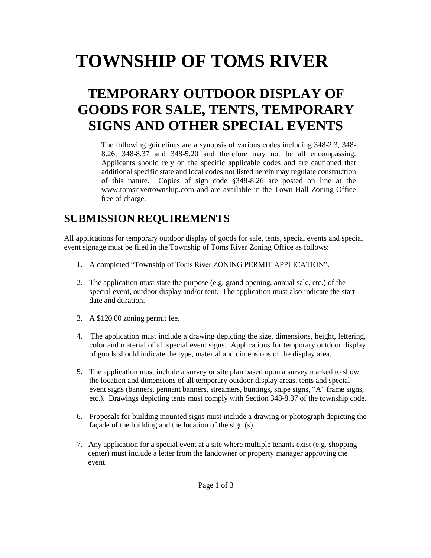# **TOWNSHIP OF TOMS RIVER**

# **TEMPORARY OUTDOOR DISPLAY OF GOODS FOR SALE, TENTS, TEMPORARY SIGNS AND OTHER SPECIAL EVENTS**

The following guidelines are a synopsis of various codes including 348-2.3, 348- 8.26, 348-8.37 and 348-5.20 and therefore may not be all encompassing. Applicants should rely on the specific applicable codes and are cautioned that additional specific state and local codes not listed herein may regulate construction of this nature. Copies of sign code §348-8.26 are posted on line at the www.tomsrivertownship.com and are available in the Town Hall Zoning Office free of charge.

## **SUBMISSION REQUIREMENTS**

All applications for temporary outdoor display of goods for sale, tents, special events and special event signage must be filed in the Township of Toms River Zoning Office as follows:

- 1. A completed "Township of Toms River ZONING PERMIT APPLICATION".
- 2. The application must state the purpose (e.g. grand opening, annual sale, etc.) of the special event, outdoor display and/or tent. The application must also indicate the start date and duration.
- 3. A \$120.00 zoning permit fee.
- 4. The application must include a drawing depicting the size, dimensions, height, lettering, color and material of all special event signs. Applications for temporary outdoor display of goods should indicate the type, material and dimensions of the display area.
- 5. The application must include a survey or site plan based upon a survey marked to show the location and dimensions of all temporary outdoor display areas, tents and special event signs (banners, pennant banners, streamers, buntings, snipe signs, "A" frame signs, etc.). Drawings depicting tents must comply with Section 348-8.37 of the township code.
- 6. Proposals for building mounted signs must include a drawing or photograph depicting the façade of the building and the location of the sign (s).
- 7. Any application for a special event at a site where multiple tenants exist (e.g. shopping center) must include a letter from the landowner or property manager approving the event.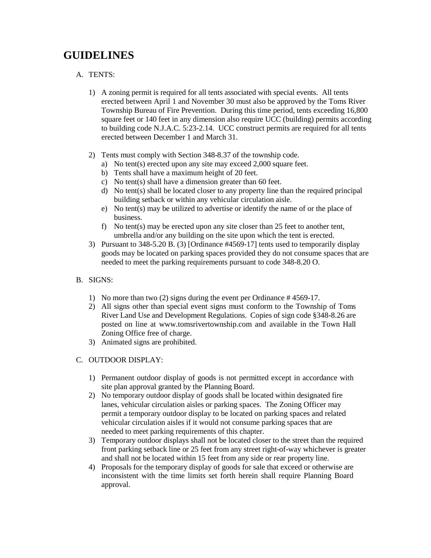## **GUIDELINES**

#### A. TENTS:

- 1) A zoning permit is required for all tents associated with special events. All tents erected between April 1 and November 30 must also be approved by the Toms River Township Bureau of Fire Prevention. During this time period, tents exceeding 16,800 square feet or 140 feet in any dimension also require UCC (building) permits according to building code N.J.A.C. 5:23-2.14. UCC construct permits are required for all tents erected between December 1 and March 31.
- 2) Tents must comply with Section 348-8.37 of the township code.
	- a) No tent(s) erected upon any site may exceed 2,000 square feet.
	- b) Tents shall have a maximum height of 20 feet.
	- c) No tent(s) shall have a dimension greater than 60 feet.
	- d) No tent(s) shall be located closer to any property line than the required principal building setback or within any vehicular circulation aisle.
	- e) No tent(s) may be utilized to advertise or identify the name of or the place of business.
	- f) No tent(s) may be erected upon any site closer than 25 feet to another tent, umbrella and/or any building on the site upon which the tent is erected.
- 3) Pursuant to 348-5.20 B. (3) [Ordinance #4569-17] tents used to temporarily display goods may be located on parking spaces provided they do not consume spaces that are needed to meet the parking requirements pursuant to code 348-8.20 O.
- B. SIGNS:
	- 1) No more than two (2) signs during the event per Ordinance # 4569-17.
	- 2) All signs other than special event signs must conform to the Township of Toms River Land Use and Development Regulations. Copies of sign code §348-8.26 are posted on line at www.tomsrivertownship.com and available in the Town Hall Zoning Office free of charge.
	- 3) Animated signs are prohibited.

#### C. OUTDOOR DISPLAY:

- 1) Permanent outdoor display of goods is not permitted except in accordance with site plan approval granted by the Planning Board.
- 2) No temporary outdoor display of goods shall be located within designated fire lanes, vehicular circulation aisles or parking spaces. The Zoning Officer may permit a temporary outdoor display to be located on parking spaces and related vehicular circulation aisles if it would not consume parking spaces that are needed to meet parking requirements of this chapter.
- 3) Temporary outdoor displays shall not be located closer to the street than the required front parking setback line or 25 feet from any street right-of-way whichever is greater and shall not be located within 15 feet from any side or rear property line.
- 4) Proposals for the temporary display of goods for sale that exceed or otherwise are inconsistent with the time limits set forth herein shall require Planning Board approval.